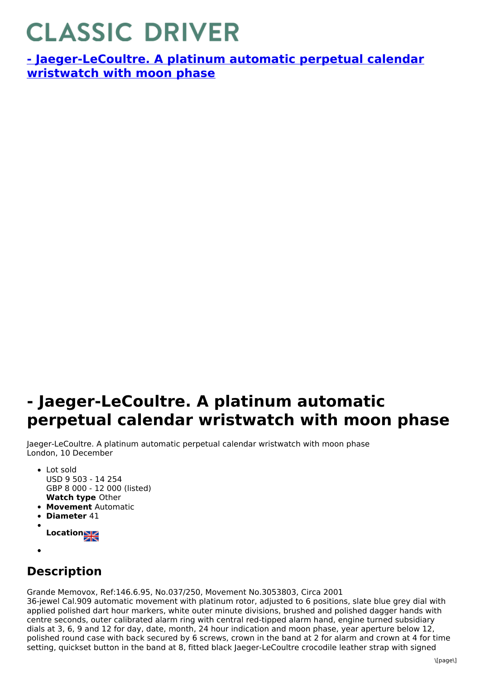## **CLASSIC DRIVER**

**- [Jaeger-LeCoultre.](https://www.classicdriver.com/en/watch/269333) A platinum automatic perpetual calendar wristwatch with moon phase**

## **- Jaeger-LeCoultre. A platinum automatic perpetual calendar wristwatch with moon phase**

Jaeger-LeCoultre. A platinum automatic perpetual calendar wristwatch with moon phase London, 10 December

- **Watch type** Other • Lot sold USD 9 503 - 14 254 GBP 8 000 - 12 000 (listed)
- **Movement** Automatic
- **Diameter** 41
- **Location**
- 

## **Description**

Grande Memovox, Ref:146.6.95, No.037/250, Movement No.3053803, Circa 2001

36-jewel Cal.909 automatic movement with platinum rotor, adjusted to 6 positions, slate blue grey dial with applied polished dart hour markers, white outer minute divisions, brushed and polished dagger hands with centre seconds, outer calibrated alarm ring with central red-tipped alarm hand, engine turned subsidiary dials at 3, 6, 9 and 12 for day, date, month, 24 hour indication and moon phase, year aperture below 12, polished round case with back secured by 6 screws, crown in the band at 2 for alarm and crown at 4 for time setting, quickset button in the band at 8, fitted black Jaeger-LeCoultre crocodile leather strap with signed